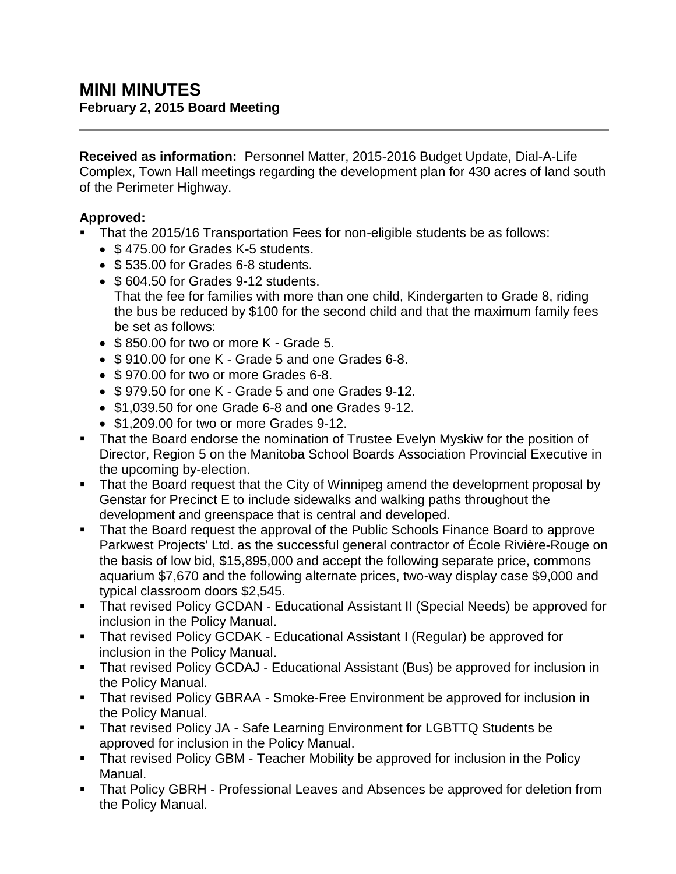**Received as information:** Personnel Matter, 2015-2016 Budget Update, Dial-A-Life Complex, Town Hall meetings regarding the development plan for 430 acres of land south of the Perimeter Highway.

# **Approved:**

- That the 2015/16 Transportation Fees for non-eligible students be as follows:
	- \$475.00 for Grades K-5 students.
	- $\bullet$  \$535.00 for Grades 6-8 students.
	- \$604.50 for Grades 9-12 students. That the fee for families with more than one child, Kindergarten to Grade 8, riding the bus be reduced by \$100 for the second child and that the maximum family fees be set as follows:
	- $\bullet$  \$850.00 for two or more K Grade 5.
	- \$910.00 for one K Grade 5 and one Grades 6-8.
	- \$970.00 for two or more Grades 6-8.
	- \$979.50 for one K Grade 5 and one Grades 9-12.
	- \$1,039,50 for one Grade 6-8 and one Grades 9-12.
	- \$1,209.00 for two or more Grades 9-12.
- That the Board endorse the nomination of Trustee Evelyn Myskiw for the position of Director, Region 5 on the Manitoba School Boards Association Provincial Executive in the upcoming by-election.
- That the Board request that the City of Winnipeg amend the development proposal by Genstar for Precinct E to include sidewalks and walking paths throughout the development and greenspace that is central and developed.
- That the Board request the approval of the Public Schools Finance Board to approve Parkwest Projects' Ltd. as the successful general contractor of École Rivière-Rouge on the basis of low bid, \$15,895,000 and accept the following separate price, commons aquarium \$7,670 and the following alternate prices, two-way display case \$9,000 and typical classroom doors \$2,545.
- That revised Policy GCDAN Educational Assistant II (Special Needs) be approved for inclusion in the Policy Manual.
- That revised Policy GCDAK Educational Assistant I (Regular) be approved for inclusion in the Policy Manual.
- That revised Policy GCDAJ Educational Assistant (Bus) be approved for inclusion in the Policy Manual.
- That revised Policy GBRAA Smoke-Free Environment be approved for inclusion in the Policy Manual.
- **That revised Policy JA Safe Learning Environment for LGBTTQ Students be** approved for inclusion in the Policy Manual.
- That revised Policy GBM Teacher Mobility be approved for inclusion in the Policy Manual.
- **That Policy GBRH Professional Leaves and Absences be approved for deletion from** the Policy Manual.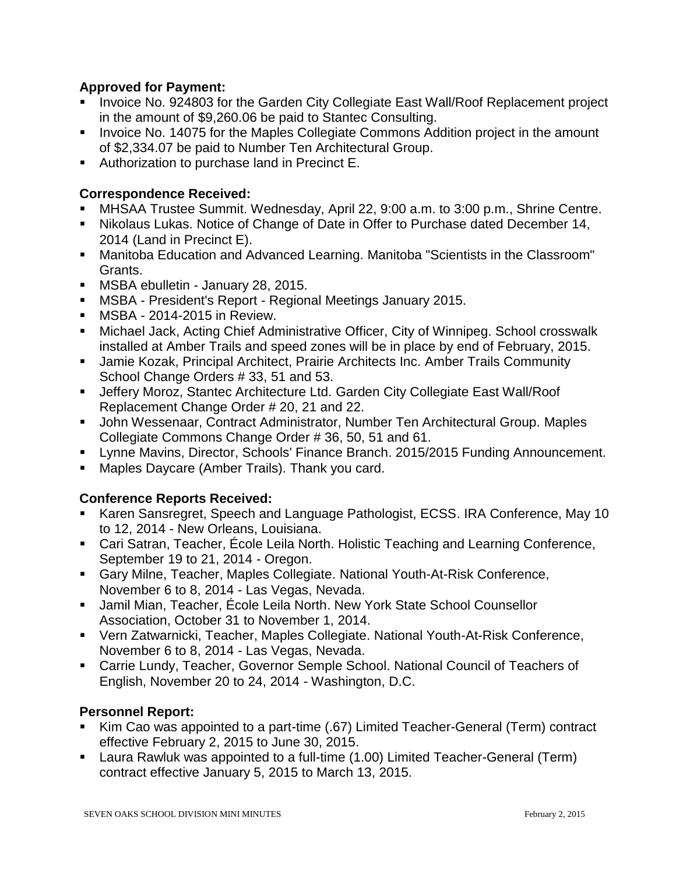### **Approved for Payment:**

- Invoice No. 924803 for the Garden City Collegiate East Wall/Roof Replacement project in the amount of \$9,260.06 be paid to Stantec Consulting.
- **IDED** Invoice No. 14075 for the Maples Collegiate Commons Addition project in the amount of \$2,334.07 be paid to Number Ten Architectural Group.
- Authorization to purchase land in Precinct E.

## **Correspondence Received:**

- MHSAA Trustee Summit. Wednesday, April 22, 9:00 a.m. to 3:00 p.m., Shrine Centre.
- Nikolaus Lukas. Notice of Change of Date in Offer to Purchase dated December 14, 2014 (Land in Precinct E).
- Manitoba Education and Advanced Learning. Manitoba "Scientists in the Classroom" Grants.
- **MSBA ebulletin January 28, 2015.**
- MSBA President's Report Regional Meetings January 2015.
- **MSBA 2014-2015 in Review.**
- Michael Jack, Acting Chief Administrative Officer, City of Winnipeg. School crosswalk installed at Amber Trails and speed zones will be in place by end of February, 2015.
- **Jamie Kozak, Principal Architect, Prairie Architects Inc. Amber Trails Community** School Change Orders # 33, 51 and 53.
- Jeffery Moroz, Stantec Architecture Ltd. Garden City Collegiate East Wall/Roof Replacement Change Order # 20, 21 and 22.
- John Wessenaar, Contract Administrator, Number Ten Architectural Group. Maples Collegiate Commons Change Order # 36, 50, 51 and 61.
- Lynne Mavins, Director, Schools' Finance Branch. 2015/2015 Funding Announcement.
- Maples Daycare (Amber Trails). Thank you card.

# **Conference Reports Received:**

- Karen Sansregret, Speech and Language Pathologist, ECSS. IRA Conference, May 10 to 12, 2014 - New Orleans, Louisiana.
- Cari Satran, Teacher, École Leila North. Holistic Teaching and Learning Conference, September 19 to 21, 2014 - Oregon.
- Gary Milne, Teacher, Maples Collegiate. National Youth-At-Risk Conference, November 6 to 8, 2014 - Las Vegas, Nevada.
- Jamil Mian, Teacher, École Leila North. New York State School Counsellor Association, October 31 to November 1, 2014.
- Vern Zatwarnicki, Teacher, Maples Collegiate. National Youth-At-Risk Conference, November 6 to 8, 2014 - Las Vegas, Nevada.
- Carrie Lundy, Teacher, Governor Semple School. National Council of Teachers of English, November 20 to 24, 2014 - Washington, D.C.

#### **Personnel Report:**

- Kim Cao was appointed to a part-time (.67) Limited Teacher-General (Term) contract effective February 2, 2015 to June 30, 2015.
- Laura Rawluk was appointed to a full-time (1.00) Limited Teacher-General (Term) contract effective January 5, 2015 to March 13, 2015.